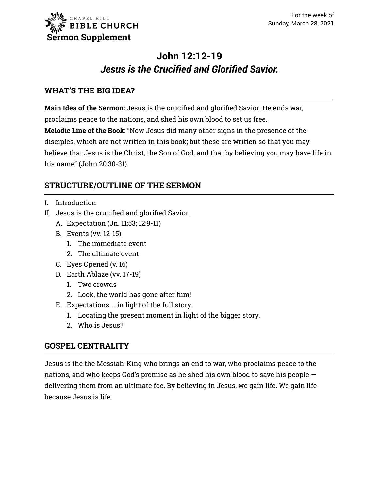# **John 12:12-19** *Jesus is the Crucified and Glorified Savior.*

## **WHAT'S THE BIG IDEA?**

**Main Idea of the Sermon:** Jesus is the crucified and glorified Savior. He ends war, proclaims peace to the nations, and shed his own blood to set us free.

**Melodic Line of the Book**: "Now Jesus did many other signs in the presence of the disciples, which are not written in this book; but these are written so that you may believe that Jesus is the Christ, the Son of God, and that by believing you may have life in his name" (John 20:30-31).

## **STRUCTURE/OUTLINE OF THE SERMON**

- I. Introduction
- II. Jesus is the crucified and glorified Savior.
	- A. Expectation (Jn. 11:53; 12:9-11)
	- B. Events (vv. 12-15)
		- 1. The immediate event
		- 2. The ultimate event
	- C. Eyes Opened (v. 16)
	- D. Earth Ablaze (vv. 17-19)
		- 1. Two crowds
		- 2. Look, the world has gone after him!
	- E. Expectations … in light of the full story.
		- 1. Locating the present moment in light of the bigger story.
		- 2. Who is Jesus?

## **GOSPEL CENTRALITY**

Jesus is the the Messiah-King who brings an end to war, who proclaims peace to the nations, and who keeps God's promise as he shed his own blood to save his people delivering them from an ultimate foe. By believing in Jesus, we gain life. We gain life because Jesus is life.